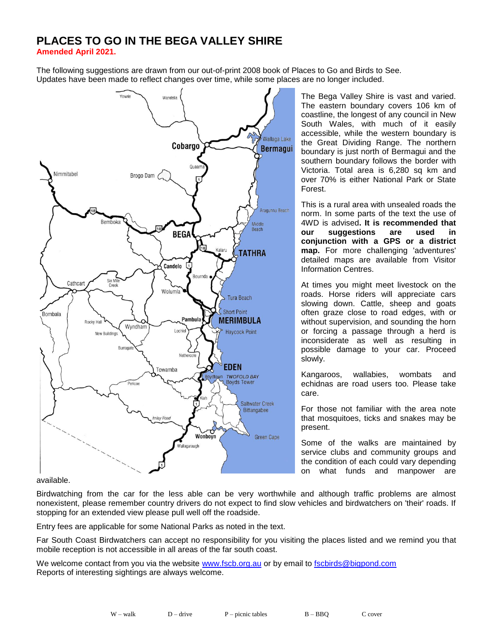# **PLACES TO GO IN THE BEGA VALLEY SHIRE**

**Amended April 2021.**

The following suggestions are drawn from our out-of-print 2008 book of Places to Go and Birds to See. Updates have been made to reflect changes over time, while some places are no longer included.



The Bega Valley Shire is vast and varied. The eastern boundary covers 106 km of coastline, the longest of any council in New South Wales, with much of it easily accessible, while the western boundary is the Great Dividing Range. The northern boundary is just north of Bermagui and the southern boundary follows the border with Victoria. Total area is 6,280 sq km and over 70% is either National Park or State Forest.

This is a rural area with unsealed roads the norm. In some parts of the text the use of 4WD is advised**. It is recommended that our suggestions are used in conjunction with a GPS or a district map.** For more challenging 'adventures' detailed maps are available from Visitor Information Centres.

At times you might meet livestock on the roads. Horse riders will appreciate cars slowing down. Cattle, sheep and goats often graze close to road edges, with or without supervision, and sounding the horn or forcing a passage through a herd is inconsiderate as well as resulting in possible damage to your car. Proceed slowly.

Kangaroos, wallabies, wombats and echidnas are road users too. Please take care.

For those not familiar with the area note that mosquitoes, ticks and snakes may be present.

Some of the walks are maintained by service clubs and community groups and the condition of each could vary depending on what funds and manpower are

available.

Birdwatching from the car for the less able can be very worthwhile and although traffic problems are almost nonexistent, please remember country drivers do not expect to find slow vehicles and birdwatchers on 'their' roads. If stopping for an extended view please pull well off the roadside.

Entry fees are applicable for some National Parks as noted in the text.

Far South Coast Birdwatchers can accept no responsibility for you visiting the places listed and we remind you that mobile reception is not accessible in all areas of the far south coast.

We welcome contact from you via the website [www.fscb.org.au](http://www.fscb.org.au/) or by email to [fscbirds@bigpond.com](mailto:fscbirds@bigpond.com) Reports of interesting sightings are always welcome.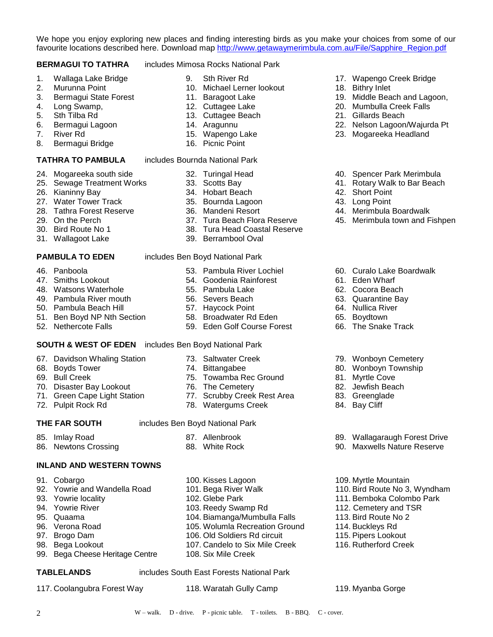We hope you enjoy exploring new places and finding interesting birds as you make your choices from some of our favourite locations described here. Download map [http://www.getawaymerimbula.com.au/File/Sapphire\\_Region.pdf](http://www.getawaymerimbula.com.au/File/Sapphire_Region.pdf)

#### **BERMAGUI TO TATHRA** includes Mimosa Rocks National Park

- 1. Wallaga Lake Bridge
- 2. Murunna Point
- 3. Bermagui State Forest
- 4. Long Swamp,
- 5. Sth Tilba Rd
- 6. Bermagui Lagoon
- 7. River Rd
- 8. Bermagui Bridge

- 24. Mogareeka south side
- 25. Sewage Treatment Works
- 26. Kianinny Bay
- 27. Water Tower Track
- 28. Tathra Forest Reserve
- 29. On the Perch
- 30. Bird Route No 1
- 31. Wallagoot Lake

- 46. Panboola
- 47. Smiths Lookout
- 48. Watsons Waterhole
- 49. Pambula River mouth
- 50. Pambula Beach Hill
- 51. Ben Boyd NP Nth Section
- 52. Nethercote Falls

# **SOUTH & WEST OF EDEN** includes Ben Boyd National Park

- 67. Davidson Whaling Station
- 68. Boyds Tower
- 69. Bull Creek
- 70. Disaster Bay Lookout
- 71. Green Cape Light Station
- 72. Pulpit Rock Rd

- 85. Imlay Road
- 86. Newtons Crossing

#### **INLAND AND WESTERN TOWNS**

- 91. Cobargo
- 92. Yowrie and Wandella Road
- 93. Yowrie locality
- 94. Yowrie River
- 95. Quaama
- 96. Verona Road
- 97. Brogo Dam
- 98. Bega Lookout
- 99. Bega Cheese Heritage Centre

**TABLELANDS** includes South East Forests National Park

2 W – walk. D - drive. P - picnic table. T - toilets. B - BBQ. C - cover.

117. Coolangubra Forest Way 118. Waratah Gully Camp 119. Myanba Gorge

112. Cemetery and TSR 113. Bird Route No 2 114. Buckleys Rd 115. Pipers Lookout 116. Rutherford Creek

- - 9. Sth River Rd
	- 10. Michael Lerner lookout
	- 11. Baragoot Lake
	- 12. Cuttagee Lake
	- 13. Cuttagee Beach
	- 14. Aragunnu
	- 15. Wapengo Lake
	- 16. Picnic Point

### **TATHRA TO PAMBULA** includes Bournda National Park

- 32. Turingal Head
- 33. Scotts Bay
- 34. Hobart Beach
- 35. Bournda Lagoon
- 36. Mandeni Resort
- 37. Tura Beach Flora Reserve
- 38. Tura Head Coastal Reserve
- 39. Berrambool Oval

#### **PAMBULA TO EDEN** includes Ben Boyd National Park

- 53. Pambula River Lochiel
- 54. Goodenia Rainforest
- 55. Pambula Lake
- 56. Severs Beach
- 57. Haycock Point
- 58. Broadwater Rd Eden
- 59. Eden Golf Course Forest
- 73. Saltwater Creek
- 74. Bittangabee
- 75. Towamba Rec Ground
- 76. The Cemetery
- 77. Scrubby Creek Rest Area
- 78. Watergums Creek

#### **THE FAR SOUTH** includes Ben Boyd National Park

- 87. Allenbrook
- 88. White Rock
- 100. Kisses Lagoon 101. Bega River Walk 109. Myrtle Mountain 110. Bird Route No 3, Wyndham 111. Bemboka Colombo Park
- 102. Glebe Park 103. Reedy Swamp Rd
- 104. Biamanga/Mumbulla Falls
- 105. Wolumla Recreation Ground
- 106. Old Soldiers Rd circuit
- 107. Candelo to Six Mile Creek
- 108. Six Mile Creek

79. Wonboyn Cemetery 80. Wonboyn Township

89. Wallagaraugh Forest Drive 90. Maxwells Nature Reserve

17. Wapengo Creek Bridge

19. Middle Beach and Lagoon, 20. Mumbulla Creek Falls 21. Gillards Beach

22. Nelson Lagoon/Wajurda Pt 23. Mogareeka Headland

40. Spencer Park Merimbula 41. Rotary Walk to Bar Beach

44. Merimbula Boardwalk 45. Merimbula town and Fishpen

60. Curalo Lake Boardwalk

18. Bithry Inlet

42. Short Point 43. Long Point

61. Eden Wharf 62. Cocora Beach 63. Quarantine Bay 64. Nullica River 65. Boydtown 66. The Snake Track

- 81. Myrtle Cove
- 82. Jewfish Beach 83. Greenglade

84. Bay Cliff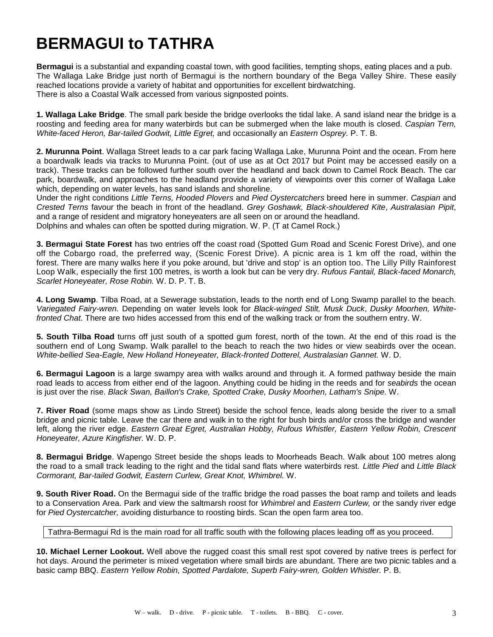# **BERMAGUI to TATHRA**

**Bermagui** is a substantial and expanding coastal town, with good facilities, tempting shops, eating places and a pub. The Wallaga Lake Bridge just north of Bermagui is the northern boundary of the Bega Valley Shire. These easily reached locations provide a variety of habitat and opportunities for excellent birdwatching. There is also a Coastal Walk accessed from various signposted points.

**1. Wallaga Lake Bridge**. The small park beside the bridge overlooks the tidal lake. A sand island near the bridge is a roosting and feeding area for many waterbirds but can be submerged when the lake mouth is closed. *Caspian Tern, White-faced Heron, Bar-tailed Godwit, Little Egret,* and occasionally an *Eastern Osprey.* P. T. B.

**2. Murunna Point**. Wallaga Street leads to a car park facing Wallaga Lake, Murunna Point and the ocean. From here a boardwalk leads via tracks to Murunna Point. (out of use as at Oct 2017 but Point may be accessed easily on a track). These tracks can be followed further south over the headland and back down to Camel Rock Beach. The car park, boardwalk, and approaches to the headland provide a variety of viewpoints over this corner of Wallaga Lake which, depending on water levels, has sand islands and shoreline.

Under the right conditions *Little Terns, Hooded Plovers* and *Pied Oystercatchers* breed here in summer. *Caspian* and *Crested Terns* favour the beach in front of the headland. *Grey Goshawk, Black-shouldered Kite*, *Australasian Pipit*, and a range of resident and migratory honeyeaters are all seen on or around the headland.

Dolphins and whales can often be spotted during migration. W. P. (T at Camel Rock.)

**3. Bermagui State Forest** has two entries off the coast road (Spotted Gum Road and Scenic Forest Drive), and one off the Cobargo road, the preferred way, (Scenic Forest Drive). A picnic area is 1 km off the road, within the forest. There are many walks here if you poke around, but 'drive and stop' is an option too. The Lilly Pilly Rainforest Loop Walk, especially the first 100 metres, is worth a look but can be very dry. *Rufous Fantail, Black-faced Monarch, Scarlet Honeyeater, Rose Robin.* W. D. P. T. B.

**4. Long Swamp**. Tilba Road, at a Sewerage substation, leads to the north end of Long Swamp parallel to the beach. *Variegated Fairy-wren.* Depending on water levels look for *Black-winged Stilt, Musk Duck*, *Dusky Moorhen, Whitefronted Chat.* There are two hides accessed from this end of the walking track or from the southern entry. W.

**5. South Tilba Road** turns off just south of a spotted gum forest, north of the town. At the end of this road is the southern end of Long Swamp. Walk parallel to the beach to reach the two hides or view seabirds over the ocean. *White-bellied Sea-Eagle, New Holland Honeyeater, Black-fronted Dotterel, Australasian Gannet.* W. D.

**6. Bermagui Lagoon** is a large swampy area with walks around and through it. A formed pathway beside the main road leads to access from either end of the lagoon. Anything could be hiding in the reeds and for *seabirds* the ocean is just over the rise. *Black Swan, Baillon's Crake, Spotted Crake, Dusky Moorhen, Latham's Snipe.* W.

**7. River Road** (some maps show as Lindo Street) beside the school fence, leads along beside the river to a small bridge and picnic table. Leave the car there and walk in to the right for bush birds and/or cross the bridge and wander left, along the river edge. *Eastern Great Egret, Australian Hobby, Rufous Whistler, Eastern Yellow Robin, Crescent Honeyeater, Azure Kingfisher.* W. D. P.

**8. Bermagui Bridge**. Wapengo Street beside the shops leads to Moorheads Beach. Walk about 100 metres along the road to a small track leading to the right and the tidal sand flats where waterbirds rest. *Little Pied* and *Little Black Cormorant, Bar-tailed Godwit, Eastern Curlew, Great Knot, Whimbrel.* W.

**9. South River Road.** On the Bermagui side of the traffic bridge the road passes the boat ramp and toilets and leads to a Conservation Area. Park and view the saltmarsh roost for *Whimbrel* and *Eastern Curlew,* or the sandy river edge for *Pied Oystercatcher,* avoiding disturbance to roosting birds. Scan the open farm area too.

Tathra-Bermagui Rd is the main road for all traffic south with the following places leading off as you proceed.

**10. Michael Lerner Lookout.** Well above the rugged coast this small rest spot covered by native trees is perfect for hot days. Around the perimeter is mixed vegetation where small birds are abundant. There are two picnic tables and a basic camp BBQ. *Eastern Yellow Robin, Spotted Pardalote, Superb Fairy-wren, Golden Whistler.* P. B.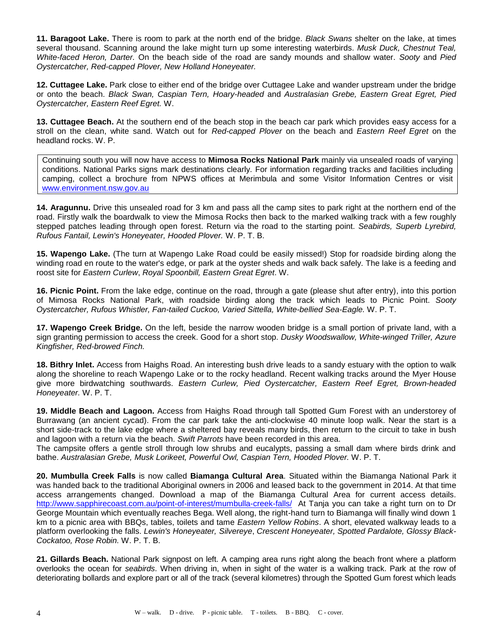**11. Baragoot Lake.** There is room to park at the north end of the bridge. *Black Swans* shelter on the lake, at times several thousand. Scanning around the lake might turn up some interesting waterbirds. *Musk Duck, Chestnut Teal, White-faced Heron, Darter.* On the beach side of the road are sandy mounds and shallow water. *Sooty* and *Pied Oystercatcher, Red-capped Plover, New Holland Honeyeater.*

**12. Cuttagee Lake.** Park close to either end of the bridge over Cuttagee Lake and wander upstream under the bridge or onto the beach. *Black Swan, Caspian Tern, Hoary-headed* and *Australasian Grebe, Eastern Great Egret, Pied Oystercatcher, Eastern Reef Egret.* W.

**13. Cuttagee Beach.** At the southern end of the beach stop in the beach car park which provides easy access for a stroll on the clean, white sand. Watch out for *Red-capped Plover* on the beach and *Eastern Reef Egret* on the headland rocks. W. P.

Continuing south you will now have access to **Mimosa Rocks National Park** mainly via unsealed roads of varying conditions. National Parks signs mark destinations clearly. For information regarding tracks and facilities including camping, collect a brochure from NPWS offices at Merimbula and some Visitor Information Centres or visit [www.environment.nsw.gov.au](http://www.environment.nsw.gov.au/)

**14. Aragunnu.** Drive this unsealed road for 3 km and pass all the camp sites to park right at the northern end of the road. Firstly walk the boardwalk to view the Mimosa Rocks then back to the marked walking track with a few roughly stepped patches leading through open forest. Return via the road to the starting point. *Seabirds, Superb Lyrebird, Rufous Fantail, Lewin's Honeyeater, Hooded Plover.* W. P. T. B.

**15. Wapengo Lake.** (The turn at Wapengo Lake Road could be easily missed!) Stop for roadside birding along the winding road en route to the water's edge, or park at the oyster sheds and walk back safely. The lake is a feeding and roost site for *Eastern Curlew*, *Royal Spoonbill, Eastern Great Egret*. W.

**16. Picnic Point.** From the lake edge, continue on the road, through a gate (please shut after entry), into this portion of Mimosa Rocks National Park, with roadside birding along the track which leads to Picnic Point. *Sooty Oystercatcher, Rufous Whistler, Fan-tailed Cuckoo, Varied Sittella, White-bellied Sea-Eagle.* W. P. T.

**17. Wapengo Creek Bridge.** On the left, beside the narrow wooden bridge is a small portion of private land, with a sign granting permission to access the creek. Good for a short stop. *Dusky Woodswallow, White-winged Triller, Azure Kingfisher, Red-browed Finch.*

**18. Bithry Inlet.** Access from Haighs Road. An interesting bush drive leads to a sandy estuary with the option to walk along the shoreline to reach Wapengo Lake or to the rocky headland. Recent walking tracks around the Myer House give more birdwatching southwards. *Eastern Curlew, Pied Oystercatcher, Eastern Reef Egret, Brown-headed Honeyeater.* W. P. T.

**19. Middle Beach and Lagoon.** Access from Haighs Road through tall Spotted Gum Forest with an understorey of Burrawang (an ancient cycad). From the car park take the anti-clockwise 40 minute loop walk. Near the start is a short side-track to the lake edge where a sheltered bay reveals many birds, then return to the circuit to take in bush and lagoon with a return via the beach. *Swift Parrots* have been recorded in this area.

The campsite offers a gentle stroll through low shrubs and eucalypts, passing a small dam where birds drink and bathe. *Australasian Grebe, Musk Lorikeet, Powerful Owl, Caspian Tern, Hooded Plover.* W. P. T.

**20. Mumbulla Creek Falls** is now called **Biamanga Cultural Area**. Situated within the Biamanga National Park it was handed back to the traditional Aboriginal owners in 2006 and leased back to the government in 2014. At that time access arrangements changed. Download a map of the Biamanga Cultural Area for current access details. <http://www.sapphirecoast.com.au/point-of-interest/mumbulla-creek-falls/>At Tanja you can take a right turn on to Dr George Mountain which eventually reaches Bega. Well along, the right-hand turn to Biamanga will finally wind down 1 km to a picnic area with BBQs, tables, toilets and tame *Eastern Yellow Robins*. A short, elevated walkway leads to a platform overlooking the falls. *Lewin's Honeyeater, Silvereye*, *Crescent Honeyeater, Spotted Pardalote, Glossy Black-Cockatoo, Rose Robin.* W. P. T. B.

**21. Gillards Beach.** National Park signpost on left. A camping area runs right along the beach front where a platform overlooks the ocean for *seabirds*. When driving in, when in sight of the water is a walking track. Park at the row of deteriorating bollards and explore part or all of the track (several kilometres) through the Spotted Gum forest which leads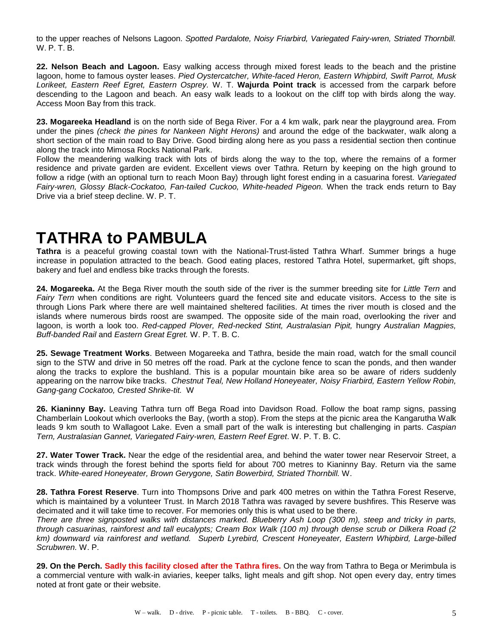to the upper reaches of Nelsons Lagoon. *Spotted Pardalote, Noisy Friarbird, Variegated Fairy-wren, Striated Thornbill.*  W. P. T. B.

**22. Nelson Beach and Lagoon.** Easy walking access through mixed forest leads to the beach and the pristine lagoon, home to famous oyster leases. *Pied Oystercatcher, White-faced Heron, Eastern Whipbird, Swift Parrot, Musk Lorikeet, Eastern Reef Egret, Eastern Osprey.* W. T. **Wajurda Point track** is accessed from the carpark before descending to the Lagoon and beach. An easy walk leads to a lookout on the cliff top with birds along the way. Access Moon Bay from this track.

**23. Mogareeka Headland** is on the north side of Bega River. For a 4 km walk, park near the playground area. From under the pines *(check the pines for Nankeen Night Herons)* and around the edge of the backwater, walk along a short section of the main road to Bay Drive. Good birding along here as you pass a residential section then continue along the track into Mimosa Rocks National Park.

Follow the meandering walking track with lots of birds along the way to the top, where the remains of a former residence and private garden are evident. Excellent views over Tathra. Return by keeping on the high ground to follow a ridge (with an optional turn to reach Moon Bay) through light forest ending in a casuarina forest. *Variegated Fairy-wren, Glossy Black-Cockatoo, Fan-tailed Cuckoo, White-headed Pigeon.* When the track ends return to Bay Drive via a brief steep decline. W. P. T.

# **TATHRA to PAMBULA**

**Tathra** is a peaceful growing coastal town with the National-Trust-listed Tathra Wharf. Summer brings a huge increase in population attracted to the beach. Good eating places, restored Tathra Hotel, supermarket, gift shops, bakery and fuel and endless bike tracks through the forests.

**24. Mogareeka.** At the Bega River mouth the south side of the river is the summer breeding site for *Little Tern* and *Fairy Tern* when conditions are right*.* Volunteers guard the fenced site and educate visitors. Access to the site is through Lions Park where there are well maintained sheltered facilities. At times the river mouth is closed and the islands where numerous birds roost are swamped. The opposite side of the main road, overlooking the river and lagoon, is worth a look too. *Red-capped Plover, Red-necked Stint, Australasian Pipit,* hungry *Australian Magpies, Buff-banded Rail* and *Eastern Great Egret.* W. P. T. B. C.

**25. Sewage Treatment Works**. Between Mogareeka and Tathra, beside the main road, watch for the small council sign to the STW and drive in 50 metres off the road. Park at the cyclone fence to scan the ponds, and then wander along the tracks to explore the bushland. This is a popular mountain bike area so be aware of riders suddenly appearing on the narrow bike tracks. *Chestnut Teal, New Holland Honeyeater, Noisy Friarbird, Eastern Yellow Robin, Gang-gang Cockatoo, Crested Shrike-tit.* W

**26. Kianinny Bay.** Leaving Tathra turn off Bega Road into Davidson Road. Follow the boat ramp signs, passing Chamberlain Lookout which overlooks the Bay, (worth a stop). From the steps at the picnic area the Kangarutha Walk leads 9 km south to Wallagoot Lake. Even a small part of the walk is interesting but challenging in parts. *Caspian Tern, Australasian Gannet, Variegated Fairy-wren, Eastern Reef Egret*. W. P. T. B. C.

**27. Water Tower Track.** Near the edge of the residential area, and behind the water tower near Reservoir Street, a track winds through the forest behind the sports field for about 700 metres to Kianinny Bay. Return via the same track. *White-eared Honeyeater, Brown Gerygone, Satin Bowerbird, Striated Thornbill.* W.

**28. Tathra Forest Reserve**. Turn into Thompsons Drive and park 400 metres on within the Tathra Forest Reserve, which is maintained by a volunteer Trust. In March 2018 Tathra was ravaged by severe bushfires. This Reserve was decimated and it will take time to recover. For memories only this is what used to be there.

*There are three signposted walks with distances marked. Blueberry Ash Loop (300 m), steep and tricky in parts, through casuarinas, rainforest and tall eucalypts; Cream Box Walk (100 m) through dense scrub or Dilkera Road (2 km) downward via rainforest and wetland. Superb Lyrebird, Crescent Honeyeater, Eastern Whipbird, Large-billed Scrubwren.* W. P.

**29. On the Perch. Sadly this facility closed after the Tathra fires.** On the way from Tathra to Bega or Merimbula is a commercial venture with walk-in aviaries, keeper talks, light meals and gift shop. Not open every day, entry times noted at front gate or their website.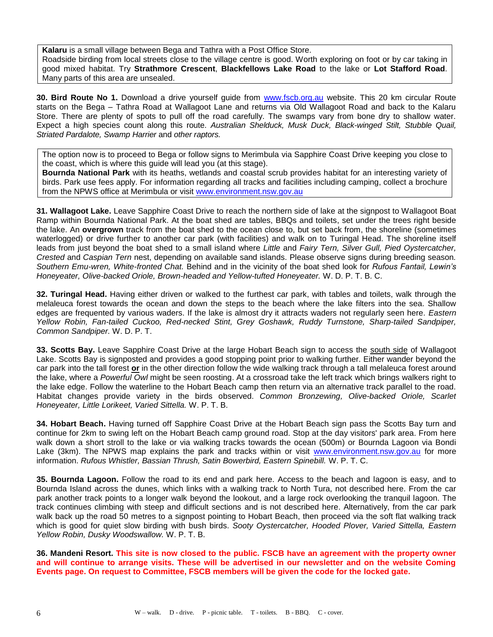**Kalaru** is a small village between Bega and Tathra with a Post Office Store. Roadside birding from local streets close to the village centre is good. Worth exploring on foot or by car taking in good mixed habitat. Try **Strathmore Crescent**, **Blackfellows Lake Road** to the lake or **Lot Stafford Road**. Many parts of this area are unsealed.

**30. Bird Route No 1.** Download a drive yourself guide from [www.fscb.org.au](http://www.fscb.org.au/) website. This 20 km circular Route starts on the Bega – Tathra Road at Wallagoot Lane and returns via Old Wallagoot Road and back to the Kalaru Store. There are plenty of spots to pull off the road carefully. The swamps vary from bone dry to shallow water. Expect a high species count along this route. *Australian Shelduck, Musk Duck, Black-winged Stilt, Stubble Quail, Striated Pardalote, Swamp Harrier* and *other raptors.*

The option now is to proceed to Bega or follow signs to Merimbula via Sapphire Coast Drive keeping you close to the coast, which is where this guide will lead you (at this stage).

**Bournda National Park** with its heaths, wetlands and coastal scrub provides habitat for an interesting variety of birds. Park use fees apply. For information regarding all tracks and facilities including camping, collect a brochure from the NPWS office at Merimbula or visit [www.environment.nsw.gov.au](http://www.environment.nsw.gov.au/)

**31. Wallagoot Lake.** Leave Sapphire Coast Drive to reach the northern side of lake at the signpost to Wallagoot Boat Ramp within Bournda National Park. At the boat shed are tables, BBQs and toilets, set under the trees right beside the lake. An **overgrown** track from the boat shed to the ocean close to, but set back from, the shoreline (sometimes waterlogged) or drive further to another car park (with facilities) and walk on to Turingal Head. The shoreline itself leads from just beyond the boat shed to a small island where *Little* and *Fairy Tern, Silver Gull, Pied Oystercatcher, Crested* and *Caspian Tern* nest, depending on available sand islands. Please observe signs during breeding season*. Southern Emu-wren, White-fronted Chat.* Behind and in the vicinity of the boat shed look for *Rufous Fantail, Lewin's Honeyeater, Olive-backed Oriole, Brown-headed and Yellow-tufted Honeyeater.* W. D. P. T. B. C.

**32. Turingal Head.** Having either driven or walked to the furthest car park, with tables and toilets, walk through the melaleuca forest towards the ocean and down the steps to the beach where the lake filters into the sea. Shallow edges are frequented by various waders. If the lake is almost dry it attracts waders not regularly seen here. *Eastern Yellow Robin, Fan-tailed Cuckoo, Red-necked Stint, Grey Goshawk, Ruddy Turnstone, Sharp-tailed Sandpiper, Common Sandpiper.* W. D. P. T.

**33. Scotts Bay.** Leave Sapphire Coast Drive at the large Hobart Beach sign to access the south side of Wallagoot Lake. Scotts Bay is signposted and provides a good stopping point prior to walking further. Either wander beyond the car park into the tall forest **or** in the other direction follow the wide walking track through a tall melaleuca forest around the lake, where a *Powerful Owl* might be seen roosting. At a crossroad take the left track which brings walkers right to the lake edge. Follow the waterline to the Hobart Beach camp then return via an alternative track parallel to the road. Habitat changes provide variety in the birds observed. *Common Bronzewing, Olive-backed Oriole, Scarlet Honeyeater, Little Lorikeet, Varied Sittella.* W. P. T. B.

**34. Hobart Beach.** Having turned off Sapphire Coast Drive at the Hobart Beach sign pass the Scotts Bay turn and continue for 2km to swing left on the Hobart Beach camp ground road. Stop at the day visitors' park area. From here walk down a short stroll to the lake or via walking tracks towards the ocean (500m) or Bournda Lagoon via Bondi Lake (3km). The NPWS map explains the park and tracks within or visit [www.environment.nsw.gov.au](http://www.environment.nsw.gov.au/) for more information. *Rufous Whistler, Bassian Thrush, Satin Bowerbird, Eastern Spinebill.* W. P. T. C.

**35. Bournda Lagoon.** Follow the road to its end and park here. Access to the beach and lagoon is easy, and to Bournda Island across the dunes, which links with a walking track to North Tura, not described here. From the car park another track points to a longer walk beyond the lookout, and a large rock overlooking the tranquil lagoon. The track continues climbing with steep and difficult sections and is not described here. Alternatively, from the car park walk back up the road 50 metres to a signpost pointing to Hobart Beach, then proceed via the soft flat walking track which is good for quiet slow birding with bush birds. *Sooty Oystercatcher, Hooded Plover, Varied Sittella, Eastern Yellow Robin, Dusky Woodswallow.* W. P. T. B.

**36. Mandeni Resort. This site is now closed to the public. FSCB have an agreement with the property owner and will continue to arrange visits. These will be advertised in our newsletter and on the website Coming Events page. On request to Committee, FSCB members will be given the code for the locked gate.**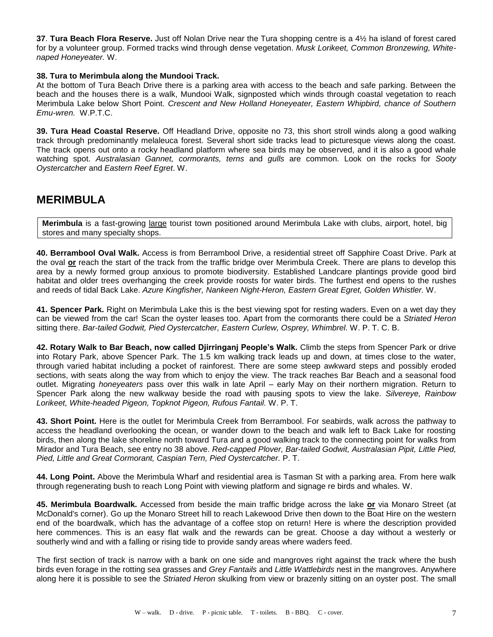**37**. **Tura Beach Flora Reserve.** Just off Nolan Drive near the Tura shopping centre is a 4½ ha island of forest cared for by a volunteer group. Formed tracks wind through dense vegetation. *Musk Lorikeet, Common Bronzewing, Whitenaped Honeyeater.* W.

#### **38. Tura to Merimbula along the Mundooi Track.**

At the bottom of Tura Beach Drive there is a parking area with access to the beach and safe parking. Between the beach and the houses there is a walk, Mundooi Walk, signposted which winds through coastal vegetation to reach Merimbula Lake below Short Point. *Crescent and New Holland Honeyeater, Eastern Whipbird, chance of Southern Emu-wren.* W.P.T.C.

**39. Tura Head Coastal Reserve.** Off Headland Drive, opposite no 73, this short stroll winds along a good walking track through predominantly melaleuca forest. Several short side tracks lead to picturesque views along the coast. The track opens out onto a rocky headland platform where sea birds may be observed, and it is also a good whale watching spot. *Australasian Gannet, cormorants, terns* and *gulls* are common. Look on the rocks for *Sooty Oystercatcher* and *Eastern Reef Egret*. W.

## **MERIMBULA**

**Merimbula** is a fast-growing large tourist town positioned around Merimbula Lake with clubs, airport, hotel, big stores and many specialty shops.

**40. Berrambool Oval Walk.** Access is from Berrambool Drive, a residential street off Sapphire Coast Drive. Park at the oval **or** reach the start of the track from the traffic bridge over Merimbula Creek. There are plans to develop this area by a newly formed group anxious to promote biodiversity. Established Landcare plantings provide good bird habitat and older trees overhanging the creek provide roosts for water birds. The furthest end opens to the rushes and reeds of tidal Back Lake. *Azure Kingfisher, Nankeen Night-Heron, Eastern Great Egret, Golden Whistler.* W.

**41. Spencer Park.** Right on Merimbula Lake this is the best viewing spot for resting waders. Even on a wet day they can be viewed from the car! Scan the oyster leases too. Apart from the cormorants there could be a *Striated Heron* sitting there. *Bar-tailed Godwit, Pied Oystercatcher, Eastern Curlew, Osprey, Whimbrel.* W. P. T. C. B.

**42. Rotary Walk to Bar Beach, now called Djirringanj People's Walk.** Climb the steps from Spencer Park or drive into Rotary Park, above Spencer Park. The 1.5 km walking track leads up and down, at times close to the water, through varied habitat including a pocket of rainforest. There are some steep awkward steps and possibly eroded sections, with seats along the way from which to enjoy the view. The track reaches Bar Beach and a seasonal food outlet. Migrating *honeyeaters* pass over this walk in late April – early May on their northern migration. Return to Spencer Park along the new walkway beside the road with pausing spots to view the lake. *Silvereye, Rainbow Lorikeet, White-headed Pigeon, Topknot Pigeon, Rufous Fantail.* W. P. T.

**43. Short Point.** Here is the outlet for Merimbula Creek from Berrambool. For seabirds, walk across the pathway to access the headland overlooking the ocean, or wander down to the beach and walk left to Back Lake for roosting birds, then along the lake shoreline north toward Tura and a good walking track to the connecting point for walks from Mirador and Tura Beach, see entry no 38 above. *Red-capped Plover, Bar-tailed Godwit, Australasian Pipit, Little Pied, Pied, Little and Great Cormorant, Caspian Tern, Pied Oystercatcher.* P. T.

**44. Long Point.** Above the Merimbula Wharf and residential area is Tasman St with a parking area. From here walk through regenerating bush to reach Long Point with viewing platform and signage re birds and whales. W.

**45. Merimbula Boardwalk.** Accessed from beside the main traffic bridge across the lake **or** via Monaro Street (at McDonald's corner). Go up the Monaro Street hill to reach Lakewood Drive then down to the Boat Hire on the western end of the boardwalk, which has the advantage of a coffee stop on return! Here is where the description provided here commences. This is an easy flat walk and the rewards can be great. Choose a day without a westerly or southerly wind and with a falling or rising tide to provide sandy areas where waders feed.

The first section of track is narrow with a bank on one side and mangroves right against the track where the bush birds even forage in the rotting sea grasses and *Grey Fantails* and *Little Wattlebirds* nest in the mangroves. Anywhere along here it is possible to see the *Striated Heron* skulking from view or brazenly sitting on an oyster post. The small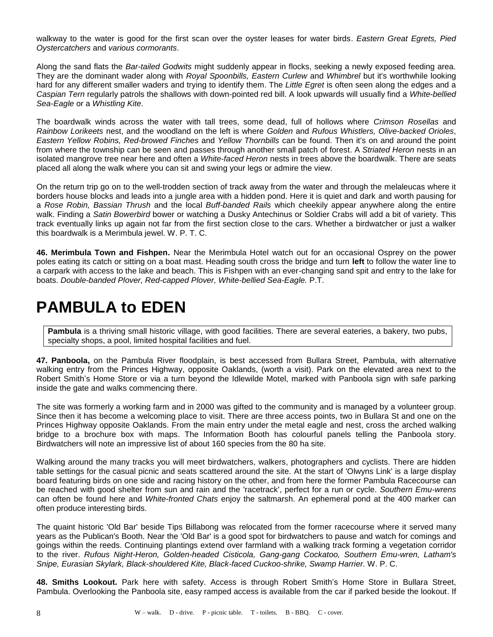walkway to the water is good for the first scan over the oyster leases for water birds. *Eastern Great Egrets, Pied Oystercatchers* and *various cormorants*.

Along the sand flats the *Bar-tailed Godwits* might suddenly appear in flocks, seeking a newly exposed feeding area. They are the dominant wader along with *Royal Spoonbills, Eastern Curlew* and *Whimbrel* but it's worthwhile looking hard for any different smaller waders and trying to identify them. The *Little Egret* is often seen along the edges and a *Caspian Tern* regularly patrols the shallows with down-pointed red bill. A look upwards will usually find a *White-bellied Sea-Eagle* or a *Whistling Kite*.

The boardwalk winds across the water with tall trees, some dead, full of hollows where *Crimson Rosellas* and *Rainbow Lorikeets* nest, and the woodland on the left is where *Golden* and *Rufous Whistlers, Olive-backed Orioles*, *Eastern Yellow Robins, Red-browed Finches* and *Yellow Thornbills* can be found. Then it's on and around the point from where the township can be seen and passes through another small patch of forest. A *Striated Heron* nests in an isolated mangrove tree near here and often a *White-faced Heron* nests in trees above the boardwalk. There are seats placed all along the walk where you can sit and swing your legs or admire the view.

On the return trip go on to the well-trodden section of track away from the water and through the melaleucas where it borders house blocks and leads into a jungle area with a hidden pond. Here it is quiet and dark and worth pausing for a *Rose Robin, Bassian Thrush* and the local *Buff-banded Rails* which cheekily appear anywhere along the entire walk. Finding a *Satin Bowerbird* bower or watching a Dusky Antechinus or Soldier Crabs will add a bit of variety. This track eventually links up again not far from the first section close to the cars. Whether a birdwatcher or just a walker this boardwalk is a Merimbula jewel. W. P. T. C.

**46. Merimbula Town and Fishpen.** Near the Merimbula Hotel watch out for an occasional Osprey on the power poles eating its catch or sitting on a boat mast. Heading south cross the bridge and turn **left** to follow the water line to a carpark with access to the lake and beach. This is Fishpen with an ever-changing sand spit and entry to the lake for boats. *Double-banded Plover, Red-capped Plover, White-bellied Sea-Eagle.* P.T.

# **PAMBULA to EDEN**

**Pambula** is a thriving small historic village, with good facilities. There are several eateries, a bakery, two pubs, specialty shops, a pool, limited hospital facilities and fuel.

**47. Panboola,** on the Pambula River floodplain, is best accessed from Bullara Street, Pambula, with alternative walking entry from the Princes Highway, opposite Oaklands, (worth a visit). Park on the elevated area next to the Robert Smith's Home Store or via a turn beyond the Idlewilde Motel, marked with Panboola sign with safe parking inside the gate and walks commencing there.

The site was formerly a working farm and in 2000 was gifted to the community and is managed by a volunteer group. Since then it has become a welcoming place to visit. There are three access points, two in Bullara St and one on the Princes Highway opposite Oaklands. From the main entry under the metal eagle and nest, cross the arched walking bridge to a brochure box with maps. The Information Booth has colourful panels telling the Panboola story. Birdwatchers will note an impressive list of about 160 species from the 80 ha site.

Walking around the many tracks you will meet birdwatchers, walkers, photographers and cyclists. There are hidden table settings for the casual picnic and seats scattered around the site. At the start of 'Olwyns Link' is a large display board featuring birds on one side and racing history on the other, and from here the former Pambula Racecourse can be reached with good shelter from sun and rain and the 'racetrack', perfect for a run or cycle. *Southern Emu-wrens* can often be found here and *White-fronted Chats* enjoy the saltmarsh. An ephemeral pond at the 400 marker can often produce interesting birds.

The quaint historic 'Old Bar' beside Tips Billabong was relocated from the former racecourse where it served many years as the Publican's Booth. Near the 'Old Bar' is a good spot for birdwatchers to pause and watch for comings and goings within the reeds. Continuing plantings extend over farmland with a walking track forming a vegetation corridor to the river. *Rufous Night-Heron, Golden-headed Cisticola, Gang-gang Cockatoo, Southern Emu-wren, Latham's Snipe, Eurasian Skylark, Black-shouldered Kite, Black-faced Cuckoo-shrike, Swamp Harrier.* W. P. C.

**48. Smiths Lookout.** Park here with safety. Access is through Robert Smith's Home Store in Bullara Street, Pambula. Overlooking the Panboola site, easy ramped access is available from the car if parked beside the lookout. If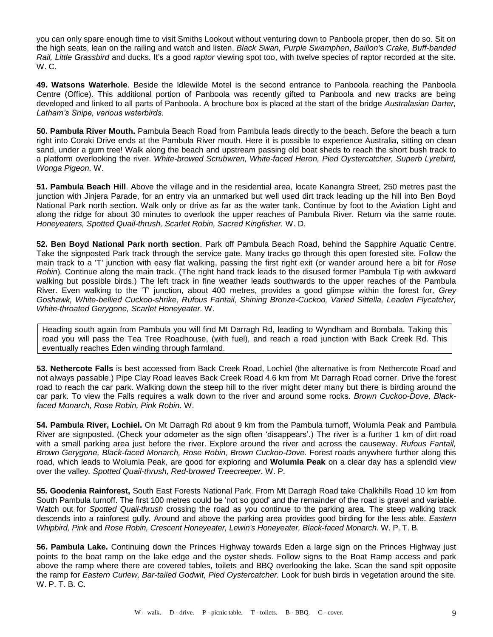you can only spare enough time to visit Smiths Lookout without venturing down to Panboola proper, then do so. Sit on the high seats, lean on the railing and watch and listen. *Black Swan, Purple Swamphen*, *Baillon's Crake, Buff-banded Rail, Little Grassbird* and ducks*.* It's a good *raptor* viewing spot too, with twelve species of raptor recorded at the site. W. C.

**49. Watsons Waterhole**. Beside the Idlewilde Motel is the second entrance to Panboola reaching the Panboola Centre (Office). This additional portion of Panboola was recently gifted to Panboola and new tracks are being developed and linked to all parts of Panboola. A brochure box is placed at the start of the bridge *Australasian Darter, Latham's Snipe, various waterbirds.*

**50. Pambula River Mouth.** Pambula Beach Road from Pambula leads directly to the beach. Before the beach a turn right into Coraki Drive ends at the Pambula River mouth. Here it is possible to experience Australia, sitting on clean sand, under a gum tree! Walk along the beach and upstream passing old boat sheds to reach the short bush track to a platform overlooking the river. *White-browed Scrubwren, White-faced Heron, Pied Oystercatcher, Superb Lyrebird, Wonga Pigeon.* W.

**51. Pambula Beach Hill**. Above the village and in the residential area, locate Kanangra Street, 250 metres past the junction with Jinjera Parade, for an entry via an unmarked but well used dirt track leading up the hill into Ben Boyd National Park north section. Walk only or drive as far as the water tank. Continue by foot to the Aviation Light and along the ridge for about 30 minutes to overlook the upper reaches of Pambula River. Return via the same route. *Honeyeaters, Spotted Quail-thrush, Scarlet Robin, Sacred Kingfisher.* W. D.

**52. Ben Boyd National Park north section**. Park off Pambula Beach Road, behind the Sapphire Aquatic Centre. Take the signposted Park track through the service gate. Many tracks go through this open forested site. Follow the main track to a 'T' junction with easy flat walking, passing the first right exit (or wander around here a bit for *Rose Robin*)*.* Continue along the main track. (The right hand track leads to the disused former Pambula Tip with awkward walking but possible birds.) The left track in fine weather leads southwards to the upper reaches of the Pambula River. Even walking to the 'T' junction, about 400 metres, provides a good glimpse within the forest for*, Grey Goshawk, White-bellied Cuckoo-shrike, Rufous Fantail, Shining Bronze-Cuckoo, Varied Sittella, Leaden Flycatcher, White-throated Gerygone, Scarlet Honeyeater.* W.

Heading south again from Pambula you will find Mt Darragh Rd, leading to Wyndham and Bombala. Taking this road you will pass the Tea Tree Roadhouse, (with fuel), and reach a road junction with Back Creek Rd. This eventually reaches Eden winding through farmland.

**53. Nethercote Falls** is best accessed from Back Creek Road, Lochiel (the alternative is from Nethercote Road and not always passable.) Pipe Clay Road leaves Back Creek Road 4.6 km from Mt Darragh Road corner. Drive the forest road to reach the car park. Walking down the steep hill to the river might deter many but there is birding around the car park. To view the Falls requires a walk down to the river and around some rocks. *Brown Cuckoo-Dove, Blackfaced Monarch, Rose Robin, Pink Robin.* W.

**54. Pambula River, Lochiel.** On Mt Darragh Rd about 9 km from the Pambula turnoff, Wolumla Peak and Pambula River are signposted. (Check your odometer as the sign often 'disappears'.) The river is a further 1 km of dirt road with a small parking area just before the river. Explore around the river and across the causeway. *Rufous Fantail, Brown Gerygone, Black-faced Monarch, Rose Robin, Brown Cuckoo-Dove.* Forest roads anywhere further along this road, which leads to Wolumla Peak, are good for exploring and **Wolumla Peak** on a clear day has a splendid view over the valley*. Spotted Quail-thrush, Red-browed Treecreeper.* W. P.

**55. Goodenia Rainforest,** South East Forests National Park. From Mt Darragh Road take Chalkhills Road 10 km from South Pambula turnoff. The first 100 metres could be 'not so good' and the remainder of the road is gravel and variable. Watch out for *Spotted Quail-thrush* crossing the road as you continue to the parking area. The steep walking track descends into a rainforest gully. Around and above the parking area provides good birding for the less able. *Eastern Whipbird, Pink* and *Rose Robin, Crescent Honeyeater, Lewin's Honeyeater, Black-faced Monarch.* W. P. T. B.

**56. Pambula Lake.** Continuing down the Princes Highway towards Eden a large sign on the Princes Highway just points to the boat ramp on the lake edge and the oyster sheds. Follow signs to the Boat Ramp access and park above the ramp where there are covered tables, toilets and BBQ overlooking the lake. Scan the sand spit opposite the ramp for *Eastern Curlew, Bar-tailed Godwit, Pied Oystercatcher.* Look for bush birds in vegetation around the site. W. P. T. B. C.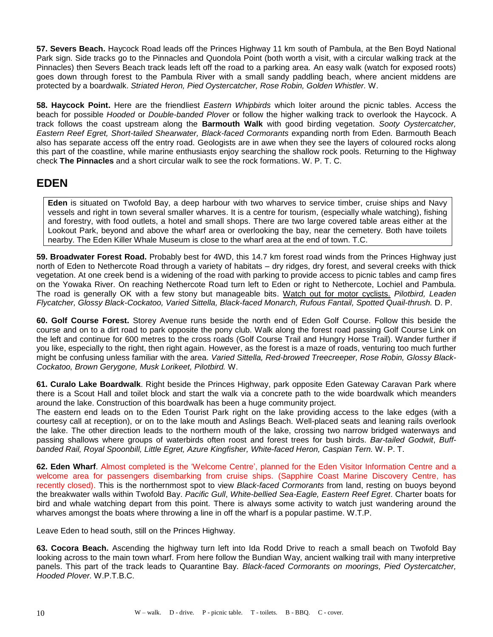**57. Severs Beach.** Haycock Road leads off the Princes Highway 11 km south of Pambula, at the Ben Boyd National Park sign. Side tracks go to the Pinnacles and Quondola Point (both worth a visit, with a circular walking track at the Pinnacles) then Severs Beach track leads left off the road to a parking area. An easy walk (watch for exposed roots) goes down through forest to the Pambula River with a small sandy paddling beach, where ancient middens are protected by a boardwalk. *Striated Heron, Pied Oystercatcher, Rose Robin, Golden Whistler.* W.

**58. Haycock Point.** Here are the friendliest *Eastern Whipbirds* which loiter around the picnic tables. Access the beach for possible *Hooded* or *Double-banded Plover* or follow the higher walking track to overlook the Haycock. A track follows the coast upstream along the **Barmouth Walk** with good birding vegetation. *Sooty Oystercatcher,* **Eastern Reef Egret, Short-tailed Shearwater, Black-faced Cormorants expanding north from Eden. Barmouth Beach** also has separate access off the entry road. Geologists are in awe when they see the layers of coloured rocks along this part of the coastline, while marine enthusiasts enjoy searching the shallow rock pools. Returning to the Highway check **The Pinnacles** and a short circular walk to see the rock formations. W. P. T. C.

## **EDEN**

**Eden** is situated on Twofold Bay, a deep harbour with two wharves to service timber, cruise ships and Navy vessels and right in town several smaller wharves. It is a centre for tourism, (especially whale watching), fishing and forestry, with food outlets, a hotel and small shops. There are two large covered table areas either at the Lookout Park, beyond and above the wharf area or overlooking the bay, near the cemetery. Both have toilets nearby. The Eden Killer Whale Museum is close to the wharf area at the end of town. T.C.

**59. Broadwater Forest Road.** Probably best for 4WD, this 14.7 km forest road winds from the Princes Highway just north of Eden to Nethercote Road through a variety of habitats – dry ridges, dry forest, and several creeks with thick vegetation. At one creek bend is a widening of the road with parking to provide access to picnic tables and camp fires on the Yowaka River. On reaching Nethercote Road turn left to Eden or right to Nethercote, Lochiel and Pambula. The road is generally OK with a few stony but manageable bits. Watch out for motor cyclists. *Pilotbird, Leaden Flycatcher, Glossy Black-Cockatoo, Varied Sittella, Black-faced Monarch, Rufous Fantail, Spotted Quail-thrush.* D. P.

**60. Golf Course Forest.** Storey Avenue runs beside the north end of Eden Golf Course. Follow this beside the course and on to a dirt road to park opposite the pony club. Walk along the forest road passing Golf Course Link on the left and continue for 600 metres to the cross roads (Golf Course Trail and Hungry Horse Trail). Wander further if you like, especially to the right, then right again. However, as the forest is a maze of roads, venturing too much further might be confusing unless familiar with the area. *Varied Sittella, Red-browed Treecreeper, Rose Robin, Glossy Black-Cockatoo, Brown Gerygone, Musk Lorikeet, Pilotbird.* W.

**61. Curalo Lake Boardwalk**. Right beside the Princes Highway, park opposite Eden Gateway Caravan Park where there is a Scout Hall and toilet block and start the walk via a concrete path to the wide boardwalk which meanders around the lake. Construction of this boardwalk has been a huge community project.

The eastern end leads on to the Eden Tourist Park right on the lake providing access to the lake edges (with a courtesy call at reception), or on to the lake mouth and Aslings Beach. Well-placed seats and leaning rails overlook the lake. The other direction leads to the northern mouth of the lake, crossing two narrow bridged waterways and passing shallows where groups of waterbirds often roost and forest trees for bush birds. *Bar-tailed Godwit*, *Buffbanded Rail, Royal Spoonbill, Little Egret, Azure Kingfisher, White-faced Heron, Caspian Tern.* W. P. T.

**62. Eden Wharf**. Almost completed is the 'Welcome Centre', planned for the Eden Visitor Information Centre and a welcome area for passengers disembarking from cruise ships. (Sapphire Coast Marine Discovery Centre, has recently closed). This is the northernmost spot to view *Black-faced Cormorants* from land, resting on buoys beyond the breakwater walls within Twofold Bay. *Pacific Gull*, *White-bellied Sea-Eagle, Eastern Reef Egret*. Charter boats for bird and whale watching depart from this point. There is always some activity to watch just wandering around the wharves amongst the boats where throwing a line in off the wharf is a popular pastime. W.T.P.

Leave Eden to head south, still on the Princes Highway.

**63. Cocora Beach.** Ascending the highway turn left into Ida Rodd Drive to reach a small beach on Twofold Bay looking across to the main town wharf. From here follow the Bundian Way, ancient walking trail with many interpretive panels. This part of the track leads to Quarantine Bay. *Black-faced Cormorants on moorings, Pied Oystercatcher, Hooded Plover.* W.P.T.B.C.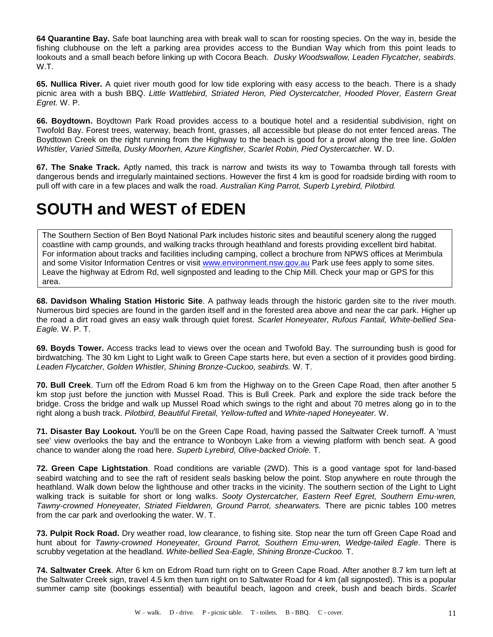**64 Quarantine Bay.** Safe boat launching area with break wall to scan for roosting species. On the way in, beside the fishing clubhouse on the left a parking area provides access to the Bundian Way which from this point leads to lookouts and a small beach before linking up with Cocora Beach. *Dusky Woodswallow, Leaden Flycatcher, seabirds.*  W.T.

**65. Nullica River.** A quiet river mouth good for low tide exploring with easy access to the beach. There is a shady picnic area with a bush BBQ. *Little Wattlebird, Striated Heron, Pied Oystercatcher, Hooded Plover, Eastern Great Egret.* W. P.

**66. Boydtown.** Boydtown Park Road provides access to a boutique hotel and a residential subdivision, right on Twofold Bay. Forest trees, waterway, beach front, grasses, all accessible but please do not enter fenced areas. The Boydtown Creek on the right running from the Highway to the beach is good for a prowl along the tree line. *Golden Whistler, Varied Sittella, Dusky Moorhen, Azure Kingfisher, Scarlet Robin, Pied Oystercatcher.* W. D.

**67. The Snake Track.** Aptly named, this track is narrow and twists its way to Towamba through tall forests with dangerous bends and irregularly maintained sections. However the first 4 km is good for roadside birding with room to pull off with care in a few places and walk the road. *Australian King Parrot, Superb Lyrebird, Pilotbird.* 

# **SOUTH and WEST of EDEN**

The Southern Section of Ben Boyd National Park includes historic sites and beautiful scenery along the rugged coastline with camp grounds, and walking tracks through heathland and forests providing excellent bird habitat. For information about tracks and facilities including camping, collect a brochure from NPWS offices at Merimbula and some Visitor Information Centres or visit [www.environment.nsw.gov.au](http://www.environment.nsw.gov.au/) Park use fees apply to some sites. Leave the highway at Edrom Rd, well signposted and leading to the Chip Mill. Check your map or GPS for this area.

**68. Davidson Whaling Station Historic Site**. A pathway leads through the historic garden site to the river mouth. Numerous bird species are found in the garden itself and in the forested area above and near the car park. Higher up the road a dirt road gives an easy walk through quiet forest. *Scarlet Honeyeater, Rufous Fantail, White-bellied Sea-Eagle.* W. P. T.

**69. Boyds Tower.** Access tracks lead to views over the ocean and Twofold Bay. The surrounding bush is good for birdwatching. The 30 km Light to Light walk to Green Cape starts here, but even a section of it provides good birding. *Leaden Flycatcher, Golden Whistler, Shining Bronze-Cuckoo, seabirds.* W. T.

**70. Bull Creek**. Turn off the Edrom Road 6 km from the Highway on to the Green Cape Road, then after another 5 km stop just before the junction with Mussel Road. This is Bull Creek. Park and explore the side track before the bridge. Cross the bridge and walk up Mussel Road which swings to the right and about 70 metres along go in to the right along a bush track. *Pilotbird, Beautiful Firetail, Yellow-tufted* and *White-naped Honeyeater.* W.

**71. Disaster Bay Lookout.** You'll be on the Green Cape Road, having passed the Saltwater Creek turnoff. A 'must see' view overlooks the bay and the entrance to Wonboyn Lake from a viewing platform with bench seat. A good chance to wander along the road here. *Superb Lyrebird, Olive-backed Oriole.* T.

**72. Green Cape Lightstation**. Road conditions are variable (2WD). This is a good vantage spot for land-based seabird watching and to see the raft of resident seals basking below the point. Stop anywhere en route through the heathland. Walk down below the lighthouse and other tracks in the vicinity. The southern section of the Light to Light walking track is suitable for short or long walks. *Sooty Oystercatcher, Eastern Reef Egret, Southern Emu-wren, Tawny-crowned Honeyeater, Striated Fieldwren, Ground Parrot, shearwaters.* There are picnic tables 100 metres from the car park and overlooking the water. W. T.

**73. Pulpit Rock Road.** Dry weather road, low clearance, to fishing site. Stop near the turn off Green Cape Road and hunt about for *Tawny-crowned Honeyeater, Ground Parrot, Southern Emu-wren, Wedge-tailed Eagle*. There is scrubby vegetation at the headland. *White-bellied Sea-Eagle, Shining Bronze-Cuckoo.* T.

**74. Saltwater Creek**. After 6 km on Edrom Road turn right on to Green Cape Road. After another 8.7 km turn left at the Saltwater Creek sign, travel 4.5 km then turn right on to Saltwater Road for 4 km (all signposted). This is a popular summer camp site (bookings essential) with beautiful beach, lagoon and creek, bush and beach birds. *Scarlet*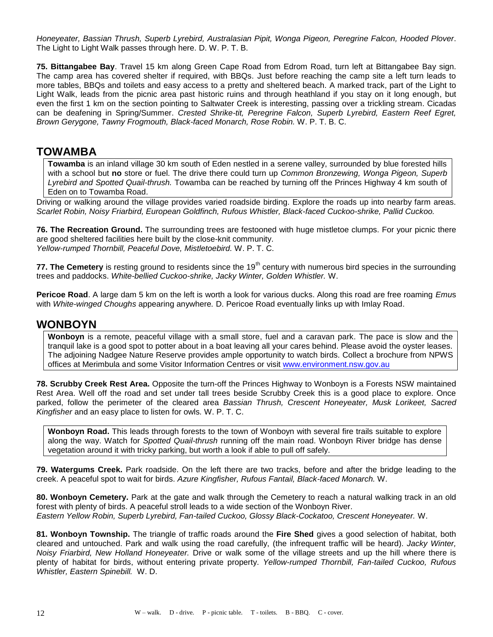*Honeyeater, Bassian Thrush, Superb Lyrebird, Australasian Pipit, Wonga Pigeon, Peregrine Falcon, Hooded Plover*. The Light to Light Walk passes through here. D. W. P. T. B.

**75. Bittangabee Bay**. Travel 15 km along Green Cape Road from Edrom Road, turn left at Bittangabee Bay sign. The camp area has covered shelter if required, with BBQs. Just before reaching the camp site a left turn leads to more tables, BBQs and toilets and easy access to a pretty and sheltered beach. A marked track, part of the Light to Light Walk, leads from the picnic area past historic ruins and through heathland if you stay on it long enough, but even the first 1 km on the section pointing to Saltwater Creek is interesting, passing over a trickling stream. Cicadas can be deafening in Spring/Summer. *Crested Shrike-tit, Peregrine Falcon, Superb Lyrebird, Eastern Reef Egret, Brown Gerygone, Tawny Frogmouth, Black-faced Monarch, Rose Robin.* W. P. T. B. C.

### **TOWAMBA**

**Towamba** is an inland village 30 km south of Eden nestled in a serene valley, surrounded by blue forested hills with a school but **no** store or fuel. The drive there could turn up *Common Bronzewing, Wonga Pigeon, Superb Lyrebird and Spotted Quail-thrush.* Towamba can be reached by turning off the Princes Highway 4 km south of Eden on to Towamba Road.

Driving or walking around the village provides varied roadside birding. Explore the roads up into nearby farm areas. *Scarlet Robin, Noisy Friarbird, European Goldfinch, Rufous Whistler, Black-faced Cuckoo-shrike, Pallid Cuckoo.*

**76. The Recreation Ground.** The surrounding trees are festooned with huge mistletoe clumps. For your picnic there are good sheltered facilities here built by the close-knit community. *Yellow-rumped Thornbill, Peaceful Dove, Mistletoebird.* W. P. T. C.

**77. The Cemetery** is resting ground to residents since the 19<sup>th</sup> century with numerous bird species in the surrounding trees and paddocks. *White-bellied Cuckoo-shrike, Jacky Winter, Golden Whistler.* W.

**Pericoe Road**. A large dam 5 km on the left is worth a look for various ducks. Along this road are free roaming *Emu*s with *White-winged Choughs* appearing anywhere*.* D. Pericoe Road eventually links up with Imlay Road.

### **WONBOYN**

**Wonboyn** is a remote, peaceful village with a small store, fuel and a caravan park. The pace is slow and the tranquil lake is a good spot to potter about in a boat leaving all your cares behind. Please avoid the oyster leases. The adjoining Nadgee Nature Reserve provides ample opportunity to watch birds. Collect a brochure from NPWS offices at Merimbula and some Visitor Information Centres or visit [www.environment.nsw.gov.au](http://www.environment.nsw.gov.au/)

**78. Scrubby Creek Rest Area.** Opposite the turn-off the Princes Highway to Wonboyn is a Forests NSW maintained Rest Area. Well off the road and set under tall trees beside Scrubby Creek this is a good place to explore. Once parked, follow the perimeter of the cleared area *Bassian Thrush, Crescent Honeyeater, Musk Lorikeet, Sacred Kingfisher* and an easy place to listen for owls*.* W. P. T. C.

**Wonboyn Road.** This leads through forests to the town of Wonboyn with several fire trails suitable to explore along the way. Watch for *Spotted Quail-thrush* running off the main road. Wonboyn River bridge has dense vegetation around it with tricky parking, but worth a look if able to pull off safely.

**79. Watergums Creek.** Park roadside. On the left there are two tracks, before and after the bridge leading to the creek. A peaceful spot to wait for birds. *Azure Kingfisher, Rufous Fantail, Black-faced Monarch.* W.

**80. Wonboyn Cemetery.** Park at the gate and walk through the Cemetery to reach a natural walking track in an old forest with plenty of birds. A peaceful stroll leads to a wide section of the Wonboyn River. *Eastern Yellow Robin, Superb Lyrebird, Fan-tailed Cuckoo, Glossy Black-Cockatoo, Crescent Honeyeater.* W.

**81. Wonboyn Township.** The triangle of traffic roads around the **Fire Shed** gives a good selection of habitat, both cleared and untouched. Park and walk using the road carefully, (the infrequent traffic will be heard). *Jacky Winter, Noisy Friarbird, New Holland Honeyeater.* Drive or walk some of the village streets and up the hill where there is plenty of habitat for birds, without entering private property. *Yellow-rumped Thornbill, Fan-tailed Cuckoo, Rufous Whistler, Eastern Spinebill.* W. D.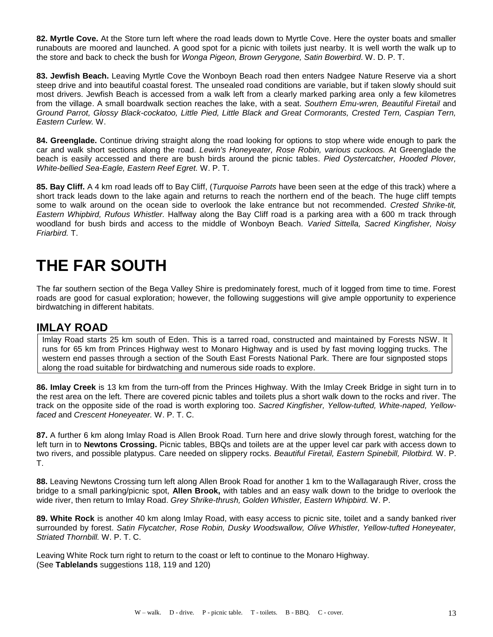**82. Myrtle Cove.** At the Store turn left where the road leads down to Myrtle Cove. Here the oyster boats and smaller runabouts are moored and launched. A good spot for a picnic with toilets just nearby. It is well worth the walk up to the store and back to check the bush for *Wonga Pigeon, Brown Gerygone, Satin Bowerbird*. W. D. P. T.

**83. Jewfish Beach.** Leaving Myrtle Cove the Wonboyn Beach road then enters Nadgee Nature Reserve via a short steep drive and into beautiful coastal forest. The unsealed road conditions are variable, but if taken slowly should suit most drivers. Jewfish Beach is accessed from a walk left from a clearly marked parking area only a few kilometres from the village. A small boardwalk section reaches the lake, with a seat. *Southern Emu-wren, Beautiful Firetail* and *Ground Parrot, Glossy Black-cockatoo, Little Pied, Little Black and Great Cormorants, Crested Tern, Caspian Tern, Eastern Curlew.* W.

**84. Greenglade.** Continue driving straight along the road looking for options to stop where wide enough to park the car and walk short sections along the road. *Lewin's Honeyeater, Rose Robin, various cuckoos.* At Greenglade the beach is easily accessed and there are bush birds around the picnic tables. *Pied Oystercatcher, Hooded Plover, White-bellied Sea-Eagle, Eastern Reef Egret.* W. P. T.

**85. Bay Cliff.** A 4 km road leads off to Bay Cliff, (*Turquoise Parrots* have been seen at the edge of this track) where a short track leads down to the lake again and returns to reach the northern end of the beach. The huge cliff tempts some to walk around on the ocean side to overlook the lake entrance but not recommended. *Crested Shrike-tit*, *Eastern Whipbird, Rufous Whistler.* Halfway along the Bay Cliff road is a parking area with a 600 m track through woodland for bush birds and access to the middle of Wonboyn Beach*. Varied Sittella, Sacred Kingfisher, Noisy Friarbird.* T.

# **THE FAR SOUTH**

The far southern section of the Bega Valley Shire is predominately forest, much of it logged from time to time. Forest roads are good for casual exploration; however, the following suggestions will give ample opportunity to experience birdwatching in different habitats.

## **IMLAY ROAD**

Imlay Road starts 25 km south of Eden. This is a tarred road, constructed and maintained by Forests NSW. It runs for 65 km from Princes Highway west to Monaro Highway and is used by fast moving logging trucks. The western end passes through a section of the South East Forests National Park. There are four signposted stops along the road suitable for birdwatching and numerous side roads to explore.

**86. Imlay Creek** is 13 km from the turn-off from the Princes Highway. With the Imlay Creek Bridge in sight turn in to the rest area on the left. There are covered picnic tables and toilets plus a short walk down to the rocks and river. The track on the opposite side of the road is worth exploring too. *Sacred Kingfisher, Yellow-tufted, White-naped, Yellowfaced* and *Crescent Honeyeater.* W. P. T. C.

**87.** A further 6 km along Imlay Road is Allen Brook Road. Turn here and drive slowly through forest, watching for the left turn in to **Newtons Crossing.** Picnic tables, BBQs and toilets are at the upper level car park with access down to two rivers, and possible platypus. Care needed on slippery rocks. *Beautiful Firetail, Eastern Spinebill, Pilotbird.* W. P. T.

**88.** Leaving Newtons Crossing turn left along Allen Brook Road for another 1 km to the Wallagaraugh River, cross the bridge to a small parking/picnic spot, **Allen Brook,** with tables and an easy walk down to the bridge to overlook the wide river, then return to Imlay Road. *Grey Shrike-thrush, Golden Whistler, Eastern Whipbird.* W. P.

**89. White Rock** is another 40 km along Imlay Road, with easy access to picnic site, toilet and a sandy banked river surrounded by forest. *Satin Flycatcher, Rose Robin, Dusky Woodswallow, Olive Whistler, Yellow-tufted Honeyeater, Striated Thornbill.* W. P. T. C.

Leaving White Rock turn right to return to the coast or left to continue to the Monaro Highway. (See **Tablelands** suggestions 118, 119 and 120)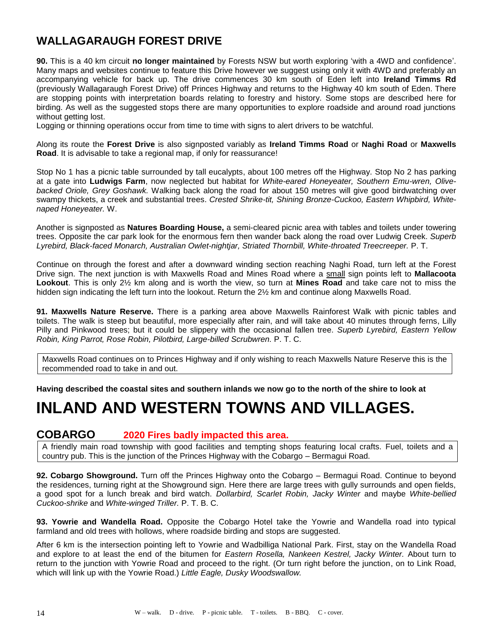# **WALLAGARAUGH FOREST DRIVE**

**90.** This is a 40 km circuit **no longer maintained** by Forests NSW but worth exploring 'with a 4WD and confidence'. Many maps and websites continue to feature this Drive however we suggest using only it with 4WD and preferably an accompanying vehicle for back up. The drive commences 30 km south of Eden left into **Ireland Timms Rd** (previously Wallagaraugh Forest Drive) off Princes Highway and returns to the Highway 40 km south of Eden. There are stopping points with interpretation boards relating to forestry and history. Some stops are described here for birding. As well as the suggested stops there are many opportunities to explore roadside and around road junctions without getting lost.

Logging or thinning operations occur from time to time with signs to alert drivers to be watchful.

Along its route the **Forest Drive** is also signposted variably as **Ireland Timms Road** or **Naghi Road** or **Maxwells Road**. It is advisable to take a regional map, if only for reassurance!

Stop No 1 has a picnic table surrounded by tall eucalypts, about 100 metres off the Highway. Stop No 2 has parking at a gate into **Ludwigs Farm**, now neglected but habitat for *White-eared Honeyeater, Southern Emu-wren, Olivebacked Oriole, Grey Goshawk.* Walking back along the road for about 150 metres will give good birdwatching over swampy thickets, a creek and substantial trees. *Crested Shrike-tit, Shining Bronze-Cuckoo, Eastern Whipbird, Whitenaped Honeyeater.* W.

Another is signposted as **Natures Boarding House,** a semi-cleared picnic area with tables and toilets under towering trees. Opposite the car park look for the enormous fern then wander back along the road over Ludwig Creek. *Superb Lyrebird, Black-faced Monarch, Australian Owlet-nightjar, Striated Thornbill, White-throated Treecreeper.* P. T.

Continue on through the forest and after a downward winding section reaching Naghi Road, turn left at the Forest Drive sign. The next junction is with Maxwells Road and Mines Road where a small sign points left to **Mallacoota Lookout**. This is only 2½ km along and is worth the view, so turn at **Mines Road** and take care not to miss the hidden sign indicating the left turn into the lookout. Return the 2½ km and continue along Maxwells Road.

**91. Maxwells Nature Reserve.** There is a parking area above Maxwells Rainforest Walk with picnic tables and toilets. The walk is steep but beautiful, more especially after rain, and will take about 40 minutes through ferns, Lilly Pilly and Pinkwood trees; but it could be slippery with the occasional fallen tree. *Superb Lyrebird, Eastern Yellow Robin, King Parrot, Rose Robin, Pilotbird, Large-billed Scrubwren.* P. T. C.

Maxwells Road continues on to Princes Highway and if only wishing to reach Maxwells Nature Reserve this is the recommended road to take in and out.

**Having described the coastal sites and southern inlands we now go to the north of the shire to look at** 

# **INLAND AND WESTERN TOWNS AND VILLAGES.**

### **COBARGO 2020 Fires badly impacted this area.**

A friendly main road township with good facilities and tempting shops featuring local crafts. Fuel, toilets and a country pub. This is the junction of the Princes Highway with the Cobargo – Bermagui Road.

**92. Cobargo Showground.** Turn off the Princes Highway onto the Cobargo – Bermagui Road. Continue to beyond the residences, turning right at the Showground sign. Here there are large trees with gully surrounds and open fields, a good spot for a lunch break and bird watch. *Dollarbird, Scarlet Robin, Jacky Winter* and maybe *White-bellied Cuckoo-shrike* and *White-winged Triller.* P. T. B. C.

**93. Yowrie and Wandella Road.** Opposite the Cobargo Hotel take the Yowrie and Wandella road into typical farmland and old trees with hollows, where roadside birding and stops are suggested.

After 6 km is the intersection pointing left to Yowrie and Wadbilliga National Park. First, stay on the Wandella Road and explore to at least the end of the bitumen for *Eastern Rosella, Nankeen Kestrel, Jacky Winter.* About turn to return to the junction with Yowrie Road and proceed to the right. (Or turn right before the junction, on to Link Road, which will link up with the Yowrie Road.) *Little Eagle, Dusky Woodswallow.*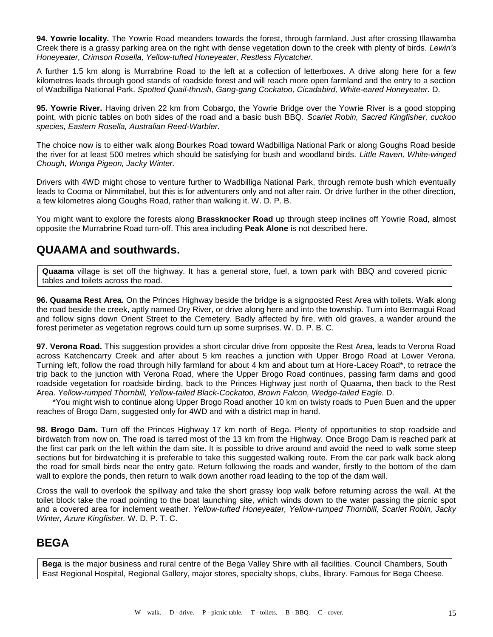**94. Yowrie locality.** The Yowrie Road meanders towards the forest, through farmland. Just after crossing Illawamba Creek there is a grassy parking area on the right with dense vegetation down to the creek with plenty of birds. *Lewin's Honeyeater, Crimson Rosella, Yellow-tufted Honeyeater, Restless Flycatcher.*

A further 1.5 km along is Murrabrine Road to the left at a collection of letterboxes. A drive along here for a few kilometres leads through good stands of roadside forest and will reach more open farmland and the entry to a section of Wadbilliga National Park. *Spotted Quail-thrush, Gang-gang Cockatoo, Cicadabird, White-eared Honeyeater.* D.

**95. Yowrie River.** Having driven 22 km from Cobargo, the Yowrie Bridge over the Yowrie River is a good stopping point, with picnic tables on both sides of the road and a basic bush BBQ. *Scarlet Robin, Sacred Kingfisher, cuckoo species, Eastern Rosella, Australian Reed-Warbler.*

The choice now is to either walk along Bourkes Road toward Wadbilliga National Park or along Goughs Road beside the river for at least 500 metres which should be satisfying for bush and woodland birds. *Little Raven, White-winged Chough, Wonga Pigeon, Jacky Winter.* 

Drivers with 4WD might chose to venture further to Wadbilliga National Park, through remote bush which eventually leads to Cooma or Nimmitabel, but this is for adventurers only and not after rain. Or drive further in the other direction, a few kilometres along Goughs Road, rather than walking it. W. D. P. B.

You might want to explore the forests along **Brassknocker Road** up through steep inclines off Yowrie Road, almost opposite the Murrabrine Road turn-off. This area including **Peak Alone** is not described here.

## **QUAAMA and southwards.**

**Quaama** village is set off the highway. It has a general store, fuel, a town park with BBQ and covered picnic tables and toilets across the road.

**96. Quaama Rest Area.** On the Princes Highway beside the bridge is a signposted Rest Area with toilets. Walk along the road beside the creek, aptly named Dry River, or drive along here and into the township. Turn into Bermagui Road and follow signs down Orient Street to the Cemetery. Badly affected by fire, with old graves, a wander around the forest perimeter as vegetation regrows could turn up some surprises. W. D. P. B. C.

**97. Verona Road.** This suggestion provides a short circular drive from opposite the Rest Area, leads to Verona Road across Katchencarry Creek and after about 5 km reaches a junction with Upper Brogo Road at Lower Verona. Turning left, follow the road through hilly farmland for about 4 km and about turn at Hore-Lacey Road\*, to retrace the trip back to the junction with Verona Road, where the Upper Brogo Road continues, passing farm dams and good roadside vegetation for roadside birding, back to the Princes Highway just north of Quaama, then back to the Rest Area. *Yellow-rumped Thornbill, Yellow-tailed Black-Cockatoo, Brown Falcon, Wedge-tailed Eagle.* D.

\*You might wish to continue along Upper Brogo Road another 10 km on twisty roads to Puen Buen and the upper reaches of Brogo Dam, suggested only for 4WD and with a district map in hand.

**98. Brogo Dam.** Turn off the Princes Highway 17 km north of Bega. Plenty of opportunities to stop roadside and birdwatch from now on. The road is tarred most of the 13 km from the Highway. Once Brogo Dam is reached park at the first car park on the left within the dam site. It is possible to drive around and avoid the need to walk some steep sections but for birdwatching it is preferable to take this suggested walking route. From the car park walk back along the road for small birds near the entry gate. Return following the roads and wander, firstly to the bottom of the dam wall to explore the ponds, then return to walk down another road leading to the top of the dam wall.

Cross the wall to overlook the spillway and take the short grassy loop walk before returning across the wall. At the toilet block take the road pointing to the boat launching site, which winds down to the water passing the picnic spot and a covered area for inclement weather. *Yellow-tufted Honeyeater, Yellow-rumped Thornbill, Scarlet Robin, Jacky Winter, Azure Kingfisher.* W. D. P. T. C.

# **BEGA**

**Bega** is the major business and rural centre of the Bega Valley Shire with all facilities. Council Chambers, South East Regional Hospital, Regional Gallery, major stores, specialty shops, clubs, library. Famous for Bega Cheese.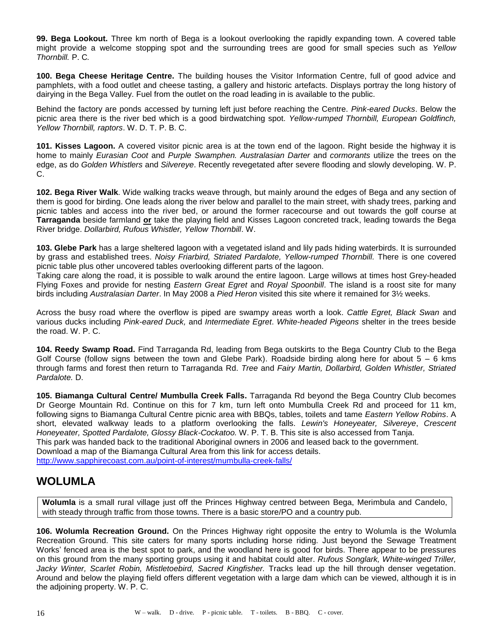**99. Bega Lookout.** Three km north of Bega is a lookout overlooking the rapidly expanding town. A covered table might provide a welcome stopping spot and the surrounding trees are good for small species such as *Yellow Thornbill.* P. C*.*

**100. Bega Cheese Heritage Centre.** The building houses the Visitor Information Centre, full of good advice and pamphlets, with a food outlet and cheese tasting, a gallery and historic artefacts. Displays portray the long history of dairying in the Bega Valley. Fuel from the outlet on the road leading in is available to the public.

Behind the factory are ponds accessed by turning left just before reaching the Centre. *Pink-eared Ducks*. Below the picnic area there is the river bed which is a good birdwatching spot. *Yellow-rumped Thornbill, European Goldfinch, Yellow Thornbill, raptors*. W. D. T. P. B. C.

**101. Kisses Lagoon.** A covered visitor picnic area is at the town end of the lagoon. Right beside the highway it is home to mainly *Eurasian Coot* and *Purple Swamphen. Australasian Darter* and *cormorants* utilize the trees on the edge, as do *Golden Whistlers* and *Silvereye*. Recently revegetated after severe flooding and slowly developing. W. P. C.

**102. Bega River Walk**. Wide walking tracks weave through, but mainly around the edges of Bega and any section of them is good for birding. One leads along the river below and parallel to the main street, with shady trees, parking and picnic tables and access into the river bed, or around the former racecourse and out towards the golf course at **Tarraganda** beside farmland **or** take the playing field and Kisses Lagoon concreted track, leading towards the Bega River bridge. *Dollarbird, Rufous Whistler, Yellow Thornbill*. W.

**103. Glebe Park** has a large sheltered lagoon with a vegetated island and lily pads hiding waterbirds. It is surrounded by grass and established trees. *Noisy Friarbird, Striated Pardalote, Yellow-rumped Thornbill.* There is one covered picnic table plus other uncovered tables overlooking different parts of the lagoon.

Taking care along the road, it is possible to walk around the entire lagoon. Large willows at times host Grey-headed Flying Foxes and provide for nesting *Eastern Great Egret* and *Royal Spoonbill*. The island is a roost site for many birds including *Australasian Darter*. In May 2008 a *Pied Heron* visited this site where it remained for 3½ weeks.

Across the busy road where the overflow is piped are swampy areas worth a look. *Cattle Egret, Black Swan* and various ducks including *Pink-eared Duck,* and *Intermediate Egret*. *White-headed Pigeons* shelter in the trees beside the road. W. P. C.

**104. Reedy Swamp Road.** Find Tarraganda Rd, leading from Bega outskirts to the Bega Country Club to the Bega Golf Course (follow signs between the town and Glebe Park). Roadside birding along here for about  $5 - 6$  kms through farms and forest then return to Tarraganda Rd. *Tree* and *Fairy Martin, Dollarbird, Golden Whistler, Striated Pardalote.* D.

**105. Biamanga Cultural Centre/ Mumbulla Creek Falls.** Tarraganda Rd beyond the Bega Country Club becomes Dr George Mountain Rd. Continue on this for 7 km, turn left onto Mumbulla Creek Rd and proceed for 11 km, following signs to Biamanga Cultural Centre picnic area with BBQs, tables, toilets and tame *Eastern Yellow Robins*. A short, elevated walkway leads to a platform overlooking the falls. *Lewin's Honeyeater, Silvereye*, *Crescent Honeyeater, Spotted Pardalote, Glossy Black-Cockatoo.* W. P. T. B. This site is also accessed from Tanja. This park was handed back to the traditional Aboriginal owners in 2006 and leased back to the government. Download a map of the Biamanga Cultural Area from this link for access details. <http://www.sapphirecoast.com.au/point-of-interest/mumbulla-creek-falls/>

## **WOLUMLA**

**Wolumla** is a small rural village just off the Princes Highway centred between Bega, Merimbula and Candelo, with steady through traffic from those towns. There is a basic store/PO and a country pub.

**106. Wolumla Recreation Ground.** On the Princes Highway right opposite the entry to Wolumla is the Wolumla Recreation Ground. This site caters for many sports including horse riding. Just beyond the Sewage Treatment Works' fenced area is the best spot to park, and the woodland here is good for birds. There appear to be pressures on this ground from the many sporting groups using it and habitat could alter. *Rufous Songlark, White-winged Triller, Jacky Winter, Scarlet Robin, Mistletoebird, Sacred Kingfisher.* Tracks lead up the hill through denser vegetation. Around and below the playing field offers different vegetation with a large dam which can be viewed, although it is in the adjoining property. W. P. C.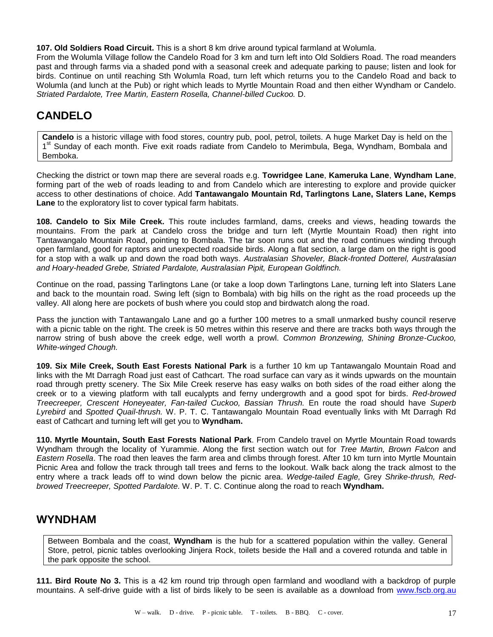**107. Old Soldiers Road Circuit.** This is a short 8 km drive around typical farmland at Wolumla.

From the Wolumla Village follow the Candelo Road for 3 km and turn left into Old Soldiers Road. The road meanders past and through farms via a shaded pond with a seasonal creek and adequate parking to pause; listen and look for birds. Continue on until reaching Sth Wolumla Road, turn left which returns you to the Candelo Road and back to Wolumla (and lunch at the Pub) or right which leads to Myrtle Mountain Road and then either Wyndham or Candelo. *Striated Pardalote, Tree Martin, Eastern Rosella, Channel-billed Cuckoo.* D.

# **CANDELO**

**Candelo** is a historic village with food stores, country pub, pool, petrol, toilets. A huge Market Day is held on the 1<sup>st</sup> Sunday of each month. Five exit roads radiate from Candelo to Merimbula, Bega, Wyndham, Bombala and Bemboka.

Checking the district or town map there are several roads e.g. **Towridgee Lane**, **Kameruka Lane**, **Wyndham Lane**, forming part of the web of roads leading to and from Candelo which are interesting to explore and provide quicker access to other destinations of choice. Add **Tantawangalo Mountain Rd, Tarlingtons Lane, Slaters Lane, Kemps Lane** to the exploratory list to cover typical farm habitats.

**108. Candelo to Six Mile Creek.** This route includes farmland, dams, creeks and views, heading towards the mountains. From the park at Candelo cross the bridge and turn left (Myrtle Mountain Road) then right into Tantawangalo Mountain Road, pointing to Bombala. The tar soon runs out and the road continues winding through open farmland, good for raptors and unexpected roadside birds. Along a flat section, a large dam on the right is good for a stop with a walk up and down the road both ways. *Australasian Shoveler, Black-fronted Dotterel, Australasian and Hoary-headed Grebe, Striated Pardalote, Australasian Pipit, European Goldfinch.*

Continue on the road, passing Tarlingtons Lane (or take a loop down Tarlingtons Lane, turning left into Slaters Lane and back to the mountain road. Swing left (sign to Bombala) with big hills on the right as the road proceeds up the valley. All along here are pockets of bush where you could stop and birdwatch along the road.

Pass the junction with Tantawangalo Lane and go a further 100 metres to a small unmarked bushy council reserve with a picnic table on the right. The creek is 50 metres within this reserve and there are tracks both ways through the narrow string of bush above the creek edge, well worth a prowl. *Common Bronzewing, Shining Bronze-Cuckoo, White-winged Chough.*

**109. Six Mile Creek, South East Forests National Park** is a further 10 km up Tantawangalo Mountain Road and links with the Mt Darragh Road just east of Cathcart. The road surface can vary as it winds upwards on the mountain road through pretty scenery. The Six Mile Creek reserve has easy walks on both sides of the road either along the creek or to a viewing platform with tall eucalypts and ferny undergrowth and a good spot for birds. *Red-browed Treecreeper, Crescent Honeyeater, Fan-tailed Cuckoo, Bassian Thrush.* En route the road should have *Superb Lyrebird* and *Spotted Quail-thrush.* W. P. T. C. Tantawangalo Mountain Road eventually links with Mt Darragh Rd east of Cathcart and turning left will get you to **Wyndham.**

**110. Myrtle Mountain, South East Forests National Park**. From Candelo travel on Myrtle Mountain Road towards Wyndham through the locality of Yurammie. Along the first section watch out for *Tree Martin, Brown Falcon* and *Eastern Rosella*. The road then leaves the farm area and climbs through forest. After 10 km turn into Myrtle Mountain Picnic Area and follow the track through tall trees and ferns to the lookout. Walk back along the track almost to the entry where a track leads off to wind down below the picnic area. *Wedge-tailed Eagle,* Grey *Shrike-thrush, Redbrowed Treecreeper, Spotted Pardalote.* W. P. T. C. Continue along the road to reach **Wyndham.**

## **WYNDHAM**

Between Bombala and the coast, **Wyndham** is the hub for a scattered population within the valley. General Store, petrol, picnic tables overlooking Jinjera Rock, toilets beside the Hall and a covered rotunda and table in the park opposite the school.

**111. Bird Route No 3.** This is a 42 km round trip through open farmland and woodland with a backdrop of purple mountains. A self-drive guide with a list of birds likely to be seen is available as a download from [www.fscb.org.au](http://www.fscb.org.au/)